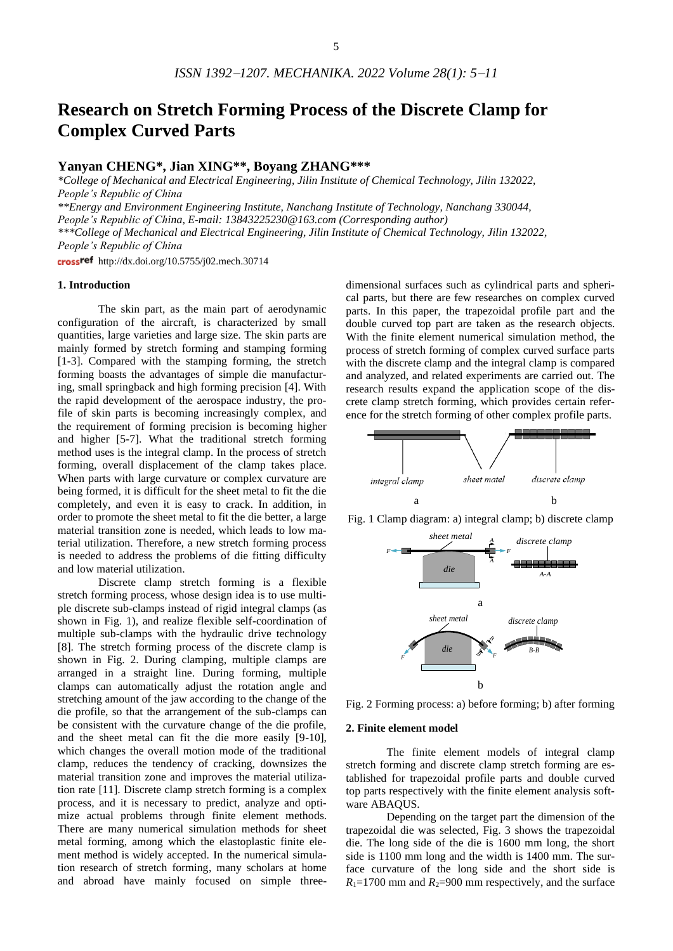# **Research on Stretch Forming Process of the Discrete Clamp for Complex Curved Parts**

## **Yanyan CHENG\*, Jian XING\*\*, Boyang ZHANG\*\*\***

*\*College of Mechanical and Electrical Engineering, Jilin Institute of Chemical Technology, Jilin 132022, People's Republic of China*

*\*\*Energy and Environment Engineering Institute, Nanchang Institute of Technology, Nanchang 330044, People's Republic of China, E-mail: 13843225230@163.com (Corresponding author)*

*\*\*\*College of Mechanical and Electrical Engineering, Jilin Institute of Chemical Technology, Jilin 132022, People's Republic of China*

crossref http://dx.doi.org/10.5755/j02.mech.30714

#### **1. Introduction**

The skin part, as the main part of aerodynamic configuration of the aircraft, is characterized by small quantities, large varieties and large size. The skin parts are mainly formed by stretch forming and stamping forming [1-3]. Compared with the stamping forming, the stretch forming boasts the advantages of simple die manufacturing, small springback and high forming precision [4]. With the rapid development of the aerospace industry, the profile of skin parts is becoming increasingly complex, and the requirement of forming precision is becoming higher and higher [5-7]. What the traditional stretch forming method uses is the integral clamp. In the process of stretch forming, overall displacement of the clamp takes place. When parts with large curvature or complex curvature are being formed, it is difficult for the sheet metal to fit the die completely, and even it is easy to crack. In addition, in order to promote the sheet metal to fit the die better, a large material transition zone is needed, which leads to low material utilization. Therefore, a new stretch forming process is needed to address the problems of die fitting difficulty and low material utilization.

Discrete clamp stretch forming is a flexible stretch forming process, whose design idea is to use multiple discrete sub-clamps instead of rigid integral clamps (as shown in Fig. 1), and realize flexible self-coordination of multiple sub-clamps with the hydraulic drive technology [8]. The stretch forming process of the discrete clamp is shown in Fig. 2. During clamping, multiple clamps are arranged in a straight line. During forming, multiple clamps can automatically adjust the rotation angle and stretching amount of the jaw according to the change of the die profile, so that the arrangement of the sub-clamps can be consistent with the curvature change of the die profile, and the sheet metal can fit the die more easily [9-10], which changes the overall motion mode of the traditional clamp, reduces the tendency of cracking, downsizes the material transition zone and improves the material utilization rate [11]. Discrete clamp stretch forming is a complex process, and it is necessary to predict, analyze and optimize actual problems through finite element methods. There are many numerical simulation methods for sheet metal forming, among which the elastoplastic finite element method is widely accepted. In the numerical simulation research of stretch forming, many scholars at home and abroad have mainly focused on simple threedimensional surfaces such as cylindrical parts and spherical parts, but there are few researches on complex curved parts. In this paper, the trapezoidal profile part and the double curved top part are taken as the research objects. With the finite element numerical simulation method, the process of stretch forming of complex curved surface parts with the discrete clamp and the integral clamp is compared and analyzed, and related experiments are carried out. The research results expand the application scope of the discrete clamp stretch forming, which provides certain reference for the stretch forming of other complex profile parts.



Fig. 1 Clamp diagram: a) integral clamp; b) discrete clamp



Fig. 2 Forming process: a) before forming; b) after forming

#### **2. Finite element model**

The finite element models of integral clamp stretch forming and discrete clamp stretch forming are established for trapezoidal profile parts and double curved top parts respectively with the finite element analysis software ABAQUS.

Depending on the target part the dimension of the trapezoidal die was selected, Fig. 3 shows the trapezoidal die. The long side of the die is 1600 mm long, the short side is 1100 mm long and the width is 1400 mm. The surface curvature of the long side and the short side is  $R_1$ =1700 mm and  $R_2$ =900 mm respectively, and the surface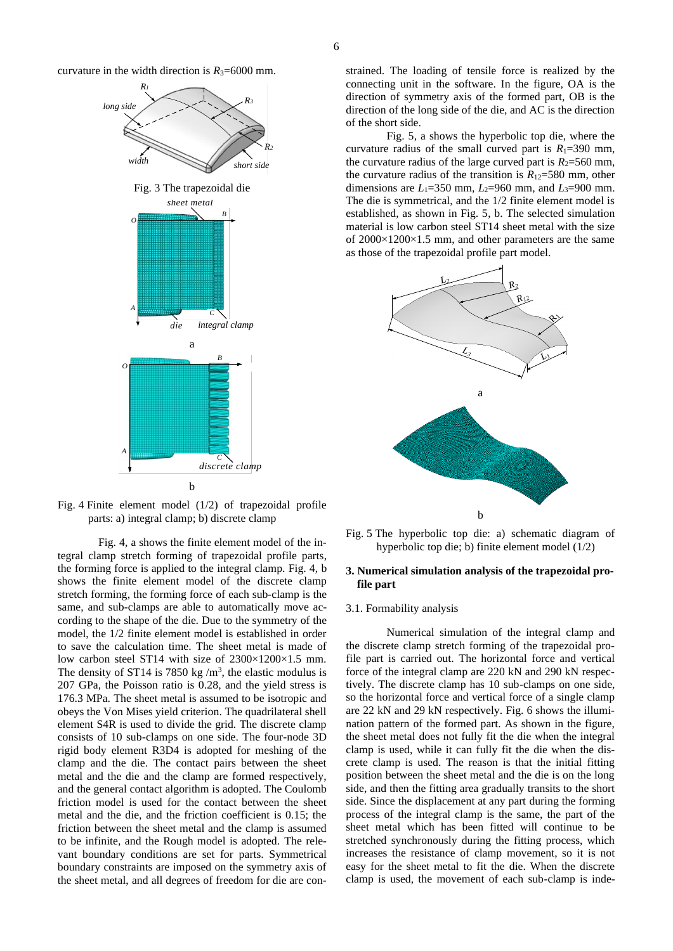curvature in the width direction is  $R_3$ =6000 mm.



Fig. 4 Finite element model (1/2) of trapezoidal profile parts: a) integral clamp; b) discrete clamp

Fig. 4, a shows the finite element model of the integral clamp stretch forming of trapezoidal profile parts, the forming force is applied to the integral clamp. Fig. 4, b shows the finite element model of the discrete clamp stretch forming, the forming force of each sub-clamp is the same, and sub-clamps are able to automatically move according to the shape of the die. Due to the symmetry of the model, the 1/2 finite element model is established in order to save the calculation time. The sheet metal is made of low carbon steel ST14 with size of 2300×1200×1.5 mm. The density of ST14 is 7850 kg  $/m<sup>3</sup>$ , the elastic modulus is 207 GPa, the Poisson ratio is 0.28, and the yield stress is 176.3 MPa. The sheet metal is assumed to be isotropic and obeys the Von Mises yield criterion. The quadrilateral shell element S4R is used to divide the grid. The discrete clamp consists of 10 sub-clamps on one side. The four-node 3D rigid body element R3D4 is adopted for meshing of the clamp and the die. The contact pairs between the sheet metal and the die and the clamp are formed respectively, and the general contact algorithm is adopted. The Coulomb friction model is used for the contact between the sheet metal and the die, and the friction coefficient is 0.15; the friction between the sheet metal and the clamp is assumed to be infinite, and the Rough model is adopted. The relevant boundary conditions are set for parts. Symmetrical boundary constraints are imposed on the symmetry axis of the sheet metal, and all degrees of freedom for die are constrained. The loading of tensile force is realized by the connecting unit in the software. In the figure, OA is the direction of symmetry axis of the formed part, OB is the direction of the long side of the die, and AC is the direction of the short side.

Fig. 5, a shows the hyperbolic top die, where the curvature radius of the small curved part is  $R_1$ =390 mm, the curvature radius of the large curved part is  $R_2$ =560 mm, the curvature radius of the transition is  $R_{12}=580$  mm, other dimensions are  $L_1$ =350 mm,  $L_2$ =960 mm, and  $L_3$ =900 mm. The die is symmetrical, and the 1/2 finite element model is established, as shown in Fig. 5, b. The selected simulation material is low carbon steel ST14 sheet metal with the size of 2000×1200×1.5 mm, and other parameters are the same as those of the trapezoidal profile part model.



Fig. 5 The hyperbolic top die: a) schematic diagram of hyperbolic top die; b) finite element model (1/2)

#### **3. Numerical simulation analysis of the trapezoidal profile part**

#### 3.1. Formability analysis

Numerical simulation of the integral clamp and the discrete clamp stretch forming of the trapezoidal profile part is carried out. The horizontal force and vertical force of the integral clamp are 220 kN and 290 kN respectively. The discrete clamp has 10 sub-clamps on one side, so the horizontal force and vertical force of a single clamp are 22 kN and 29 kN respectively. Fig. 6 shows the illumination pattern of the formed part. As shown in the figure, the sheet metal does not fully fit the die when the integral clamp is used, while it can fully fit the die when the discrete clamp is used. The reason is that the initial fitting position between the sheet metal and the die is on the long side, and then the fitting area gradually transits to the short side. Since the displacement at any part during the forming process of the integral clamp is the same, the part of the sheet metal which has been fitted will continue to be stretched synchronously during the fitting process, which increases the resistance of clamp movement, so it is not easy for the sheet metal to fit the die. When the discrete clamp is used, the movement of each sub-clamp is inde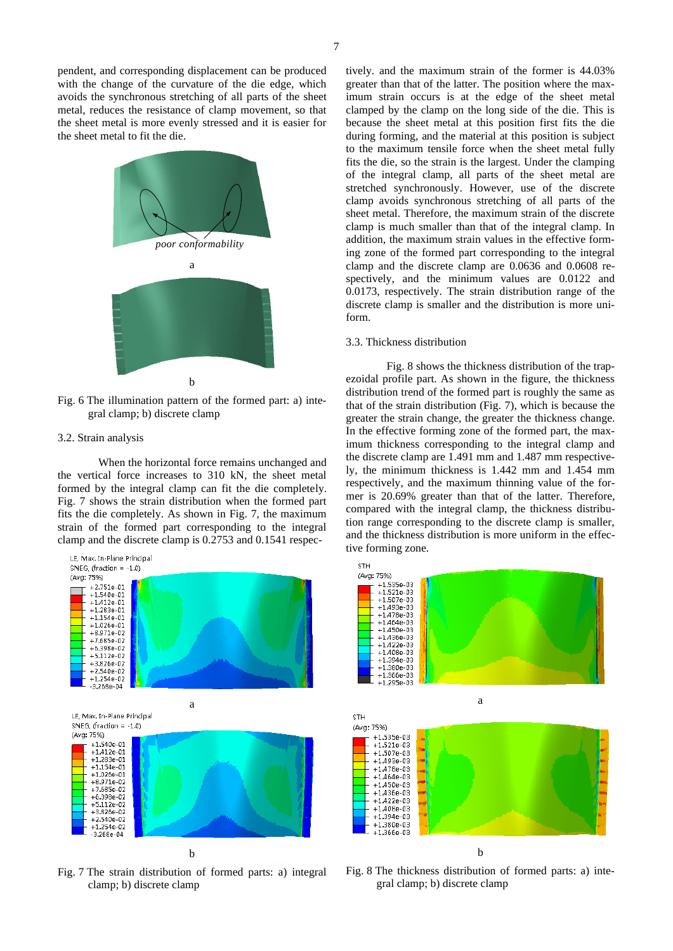pendent, and corresponding displacement can be produced with the change of the curvature of the die edge, which avoids the synchronous stretching of all parts of the sheet metal, reduces the resistance of clamp movement, so that the sheet metal is more evenly stressed and it is easier for the sheet metal to fit the die.



Fig. 6 The illumination pattern of the formed part: a) integral clamp; b) discrete clamp

## 3.2. Strain analysis

When the horizontal force remains unchanged and the vertical force increases to 310 kN, the sheet metal formed by the integral clamp can fit the die completely. Fig. 7 shows the strain distribution when the formed part fits the die completely. As shown in Fig. 7, the maximum strain of the formed part corresponding to the integral clamp and the discrete clamp is 0.2753 and 0.1541 respec-



Fig. 7 The strain distribution of formed parts: a) integral clamp; b) discrete clamp

tively. and the maximum strain of the former is 44.03% greater than that of the latter. The position where the maximum strain occurs is at the edge of the sheet metal clamped by the clamp on the long side of the die. This is because the sheet metal at this position first fits the die during forming, and the material at this position is subject to the maximum tensile force when the sheet metal fully fits the die, so the strain is the largest. Under the clamping of the integral clamp, all parts of the sheet metal are stretched synchronously. However, use of the discrete clamp avoids synchronous stretching of all parts of the sheet metal. Therefore, the maximum strain of the discrete clamp is much smaller than that of the integral clamp. In addition, the maximum strain values in the effective forming zone of the formed part corresponding to the integral clamp and the discrete clamp are 0.0636 and 0.0608 respectively, and the minimum values are 0.0122 and 0.0173, respectively. The strain distribution range of the discrete clamp is smaller and the distribution is more uniform.

#### 3.3. Thickness distribution

Fig. 8 shows the thickness distribution of the trapezoidal profile part. As shown in the figure, the thickness distribution trend of the formed part is roughly the same as that of the strain distribution (Fig. 7), which is because the greater the strain change, the greater the thickness change. In the effective forming zone of the formed part, the maximum thickness corresponding to the integral clamp and the discrete clamp are 1.491 mm and 1.487 mm respectively, the minimum thickness is 1.442 mm and 1.454 mm respectively, and the maximum thinning value of the former is 20.69% greater than that of the latter. Therefore, compared with the integral clamp, the thickness distribution range corresponding to the discrete clamp is smaller, and the thickness distribution is more uniform in the effective forming zone.



Fig. 8 The thickness distribution of formed parts: a) integral clamp; b) discrete clamp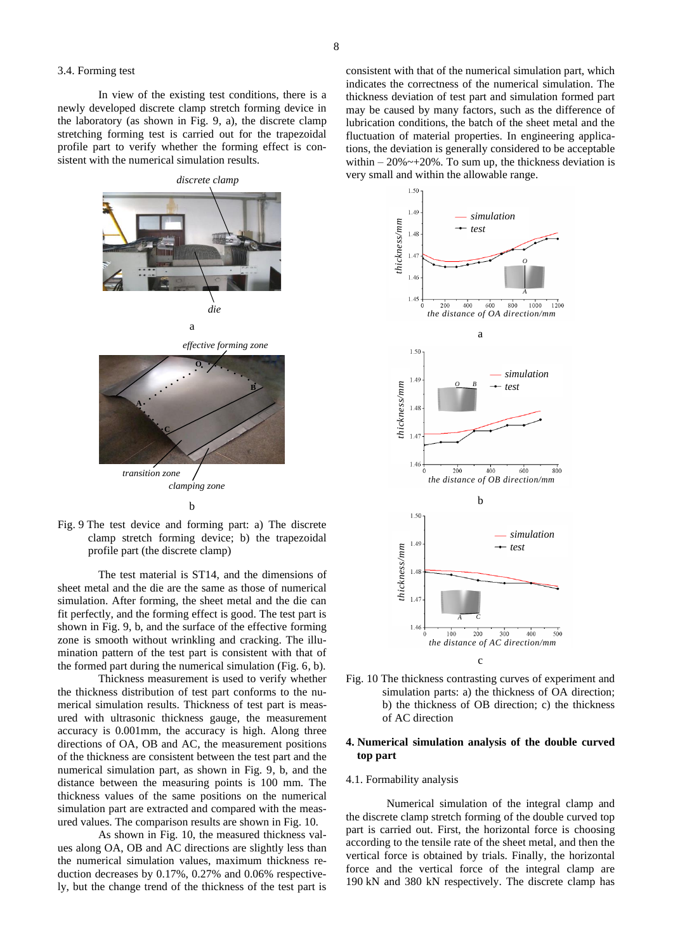#### 3.4. Forming test

In view of the existing test conditions, there is a newly developed discrete clamp stretch forming device in the laboratory (as shown in Fig. 9, a), the discrete clamp stretching forming test is carried out for the trapezoidal profile part to verify whether the forming effect is consistent with the numerical simulation results.



Fig. 9 The test device and forming part: a) The discrete clamp stretch forming device; b) the trapezoidal profile part (the discrete clamp)

The test material is ST14, and the dimensions of sheet metal and the die are the same as those of numerical simulation. After forming, the sheet metal and the die can fit perfectly, and the forming effect is good. The test part is shown in Fig. 9, b, and the surface of the effective forming zone is smooth without wrinkling and cracking. The illumination pattern of the test part is consistent with that of the formed part during the numerical simulation (Fig. 6, b).

Thickness measurement is used to verify whether the thickness distribution of test part conforms to the numerical simulation results. Thickness of test part is measured with ultrasonic thickness gauge, the measurement accuracy is 0.001mm, the accuracy is high. Along three directions of OA, OB and AC, the measurement positions of the thickness are consistent between the test part and the numerical simulation part, as shown in Fig. 9, b, and the distance between the measuring points is 100 mm. The thickness values of the same positions on the numerical simulation part are extracted and compared with the measured values. The comparison results are shown in Fig. 10.

As shown in Fig. 10, the measured thickness values along OA, OB and AC directions are slightly less than the numerical simulation values, maximum thickness reduction decreases by 0.17%, 0.27% and 0.06% respectively, but the change trend of the thickness of the test part is consistent with that of the numerical simulation part, which indicates the correctness of the numerical simulation. The thickness deviation of test part and simulation formed part may be caused by many factors, such as the difference of lubrication conditions, the batch of the sheet metal and the fluctuation of material properties. In engineering applications, the deviation is generally considered to be acceptable within  $-20\% \rightarrow +20\%$ . To sum up, the thickness deviation is very small and within the allowable range.



Fig. 10 The thickness contrasting curves of experiment and simulation parts: a) the thickness of OA direction; b) the thickness of OB direction; c) the thickness of AC direction

#### **4. Numerical simulation analysis of the double curved top part**

#### 4.1. Formability analysis

Numerical simulation of the integral clamp and the discrete clamp stretch forming of the double curved top part is carried out. First, the horizontal force is choosing according to the tensile rate of the sheet metal, and then the vertical force is obtained by trials. Finally, the horizontal force and the vertical force of the integral clamp are 190 kN and 380 kN respectively. The discrete clamp has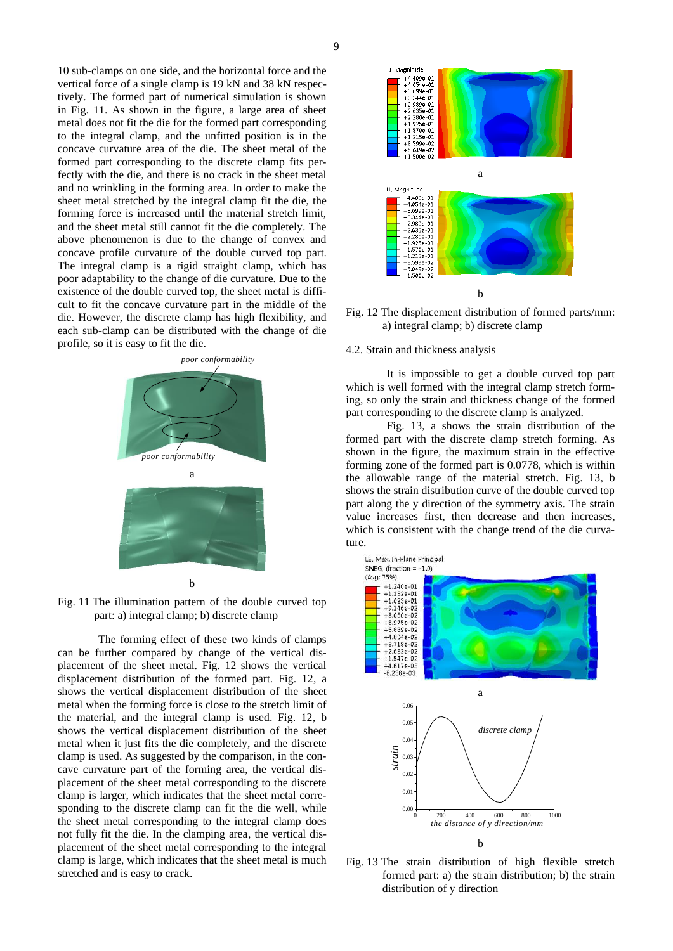10 sub-clamps on one side, and the horizontal force and the vertical force of a single clamp is 19 kN and 38 kN respectively. The formed part of numerical simulation is shown in Fig. 11. As shown in the figure, a large area of sheet metal does not fit the die for the formed part corresponding to the integral clamp, and the unfitted position is in the concave curvature area of the die. The sheet metal of the formed part corresponding to the discrete clamp fits perfectly with the die, and there is no crack in the sheet metal and no wrinkling in the forming area. In order to make the sheet metal stretched by the integral clamp fit the die, the forming force is increased until the material stretch limit, and the sheet metal still cannot fit the die completely. The above phenomenon is due to the change of convex and concave profile curvature of the double curved top part. The integral clamp is a rigid straight clamp, which has poor adaptability to the change of die curvature. Due to the existence of the double curved top, the sheet metal is difficult to fit the concave curvature part in the middle of the die. However, the discrete clamp has high flexibility, and each sub-clamp can be distributed with the change of die profile, so it is easy to fit the die.



Fig. 11 The illumination pattern of the double curved top part: a) integral clamp; b) discrete clamp

The forming effect of these two kinds of clamps can be further compared by change of the vertical displacement of the sheet metal. Fig. 12 shows the vertical displacement distribution of the formed part. Fig. 12, a shows the vertical displacement distribution of the sheet metal when the forming force is close to the stretch limit of the material, and the integral clamp is used. Fig. 12, b shows the vertical displacement distribution of the sheet metal when it just fits the die completely, and the discrete clamp is used. As suggested by the comparison, in the concave curvature part of the forming area, the vertical displacement of the sheet metal corresponding to the discrete clamp is larger, which indicates that the sheet metal corresponding to the discrete clamp can fit the die well, while the sheet metal corresponding to the integral clamp does not fully fit the die. In the clamping area, the vertical displacement of the sheet metal corresponding to the integral clamp is large, which indicates that the sheet metal is much stretched and is easy to crack.



Fig. 12 The displacement distribution of formed parts/mm: a) integral clamp; b) discrete clamp

#### 4.2. Strain and thickness analysis

It is impossible to get a double curved top part which is well formed with the integral clamp stretch forming, so only the strain and thickness change of the formed part corresponding to the discrete clamp is analyzed.

Fig. 13, a shows the strain distribution of the formed part with the discrete clamp stretch forming. As shown in the figure, the maximum strain in the effective forming zone of the formed part is 0.0778, which is within the allowable range of the material stretch. Fig. 13, b shows the strain distribution curve of the double curved top part along the y direction of the symmetry axis. The strain value increases first, then decrease and then increases, which is consistent with the change trend of the die curvature.



Fig. 13 The strain distribution of high flexible stretch formed part: a) the strain distribution; b) the strain distribution of y direction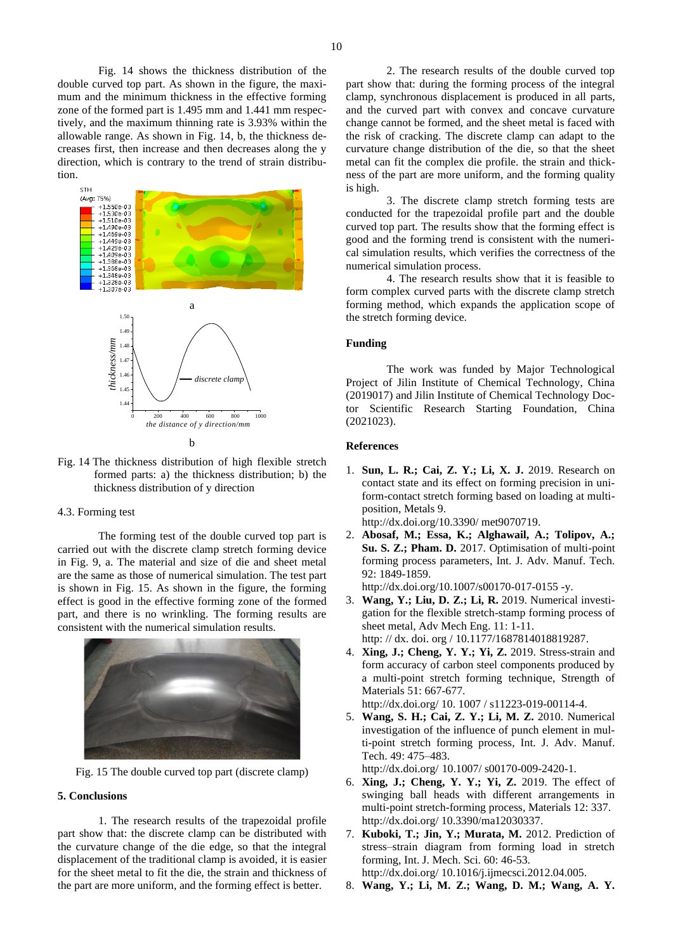Fig. 14 shows the thickness distribution of the double curved top part. As shown in the figure, the maximum and the minimum thickness in the effective forming zone of the formed part is 1.495 mm and 1.441 mm respectively, and the maximum thinning rate is 3.93% within the allowable range. As shown in Fig. 14, b, the thickness decreases first, then increase and then decreases along the y direction, which is contrary to the trend of strain distribution.



Fig. 14 The thickness distribution of high flexible stretch formed parts: a) the thickness distribution; b) the thickness distribution of y direction

## 4.3. Forming test

The forming test of the double curved top part is carried out with the discrete clamp stretch forming device in Fig. 9, a. The material and size of die and sheet metal are the same as those of numerical simulation. The test part is shown in Fig. 15. As shown in the figure, the forming effect is good in the effective forming zone of the formed part, and there is no wrinkling. The forming results are consistent with the numerical simulation results.



Fig. 15 The double curved top part (discrete clamp)

## **5. Conclusions**

1. The research results of the trapezoidal profile part show that: the discrete clamp can be distributed with the curvature change of the die edge, so that the integral displacement of the traditional clamp is avoided, it is easier for the sheet metal to fit the die, the strain and thickness of the part are more uniform, and the forming effect is better.

2. The research results of the double curved top part show that: during the forming process of the integral clamp, synchronous displacement is produced in all parts, and the curved part with convex and concave curvature change cannot be formed, and the sheet metal is faced with the risk of cracking. The discrete clamp can adapt to the curvature change distribution of the die, so that the sheet metal can fit the complex die profile. the strain and thickness of the part are more uniform, and the forming quality is high.

3. The discrete clamp stretch forming tests are conducted for the trapezoidal profile part and the double curved top part. The results show that the forming effect is good and the forming trend is consistent with the numerical simulation results, which verifies the correctness of the numerical simulation process.

4. The research results show that it is feasible to form complex curved parts with the discrete clamp stretch forming method, which expands the application scope of the stretch forming device.

## **Funding**

The work was funded by Major Technological Project of Jilin Institute of Chemical Technology, China (2019017) and Jilin Institute of Chemical Technology Doctor Scientific Research Starting Foundation, China (2021023).

#### **References**

1. **Sun, L. R.; Cai, Z. Y.; Li, X. J.** 2019. Research on contact state and its effect on forming precision in uniform-contact stretch forming based on loading at multiposition, Metals 9.

http://dx.doi.org/10.3390/ [met9070719.](https://schlr.cnki.net/Detail/DOI/WWMERGEJLAST/SJMD673EB0F79D32F8A24803B2B7F3527FB5) 2. **Abosaf, M.; Essa, K.; Alghawail, A.; Tolipov, A.;** 

**Su. S. Z.; Pham. D.** 2017. Optimisation of multi-point forming process parameters, Int. J. Adv. Manuf. Tech. 92: 1849-1859.

http://dx.doi.org[/10.1007/s00170-017-0155](https://schlr.cnki.net/Detail/DOI/SSJD_01/SSJDE49F845CE6ED122E14480142C5D8F4A1) -y.

- 3. **Wang, Y.; Liu, D. Z.; Li, R.** 2019. Numerical investigation for the flexible stretch-stamp forming process of sheet metal, Adv Mech Eng. 11: 1-11. http: // dx. doi. org / [10.1177/1687814018819287.](https://schlr.cnki.net/Detail/DOI/SJIXLAST/SJIX25A995688209C74ADEEEAF1286AB320E)
- 4. **Xing, J.; Cheng, Y. Y.; Yi, Z.** 2019. Stress-strain and form accuracy of carbon steel components produced by a multi-point stretch forming technique, Strength of Materials 51: 667-677.

http://dx.doi.org/ 10. 1007 / [s11223-019-00114-4.](https://schlr.cnki.net/Detail/DOI/SSJD_01/SSJD04749B24B9F8B643A3ECB66A3B98DEAF)

5. **Wang, S. H.; Cai, Z. Y.; Li, M. Z.** 2010. Numerical investigation of the influence of punch element in multi-point stretch forming process, Int. J. Adv. Manuf. Tech. 49: 475–483.

http://dx.doi.org/ 10.1007/ [s00170-009-2420-1.](https://schlr.cnki.net/Detail/DOI/SSJD_01/SSJD00003771910)

- 6. **Xing, J.; Cheng, Y. Y.; Yi, Z.** 2019. The effect of swinging ball heads with different arrangements in multi-point stretch-forming process, Materials 12: 337. http://dx.doi.org[/ 10.3390/ma12030337.](https://schlr.cnki.net/Detail/DOI/SJPD_03/SJPDB4E33AE9B8D399C467C05EB971B3FF4E)
- 7. **Kuboki, T.; Jin, Y.; Murata, M.** 2012. Prediction of stress–strain diagram from forming load in stretch forming, Int. J. Mech. Sci. 60: 46-53. http://dx.doi.org/ 10.1016/j.ijmecsci.2012.04.005.
- 8. **Wang, Y.; Li, M. Z.; Wang, D. M.; Wang, A. Y.**